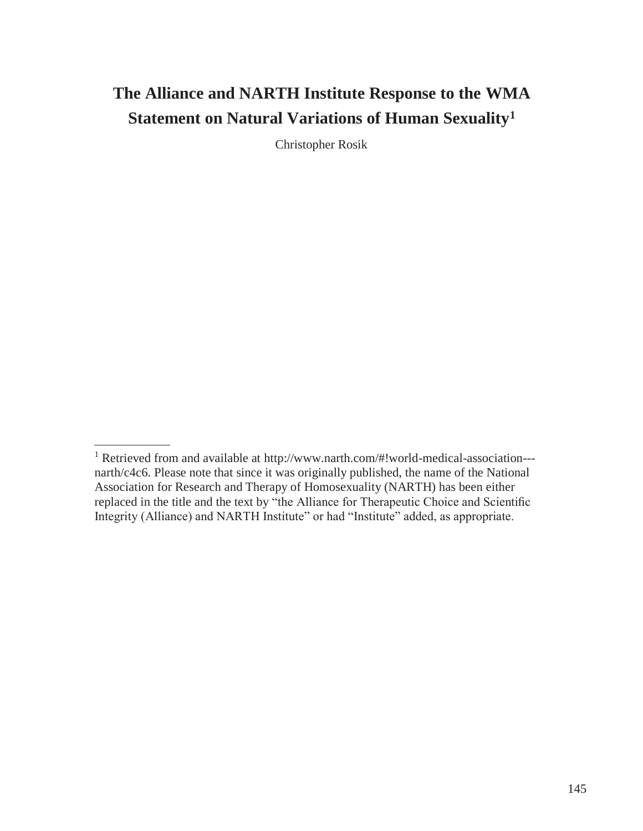# **The Alliance and NARTH Institute Response to the WMA Statement on Natural Variations of Human Sexuality<sup>1</sup>**

Christopher Rosik

<sup>1</sup> Retrieved from and available at [http://www.narth.com/#!world-medical-association--](http://www.narth.com/#!world-medical-association---) narth/c4c6. Please note that since it was originally published, the name of the National Association for Research and Therapy of Homosexuality (NARTH) has been either replaced in the title and the text by "the Alliance for Therapeutic Choice and Scientific Integrity (Alliance) and NARTH Institute" or had "Institute" added, as appropriate.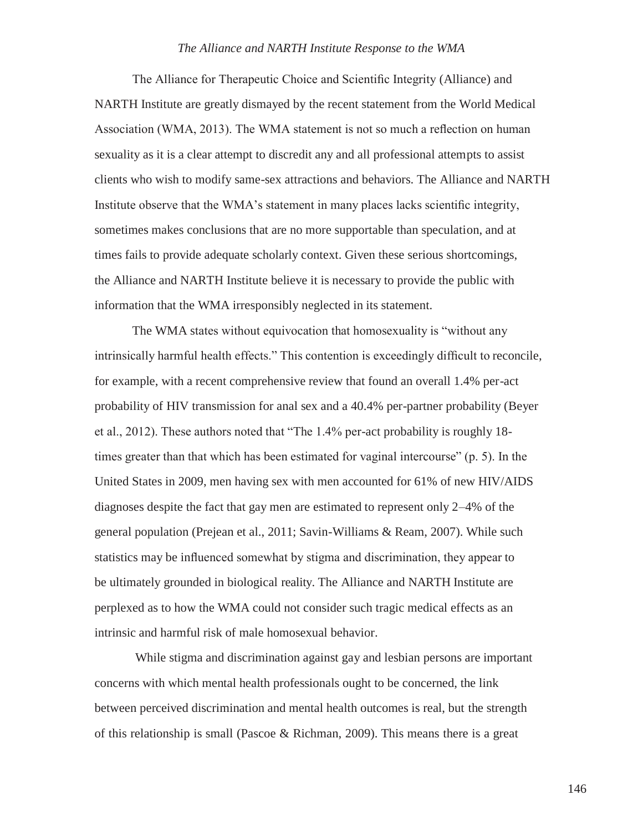The Alliance for Therapeutic Choice and Scientific Integrity (Alliance) and NARTH Institute are greatly dismayed by the recent statement from the World Medical Association (WMA, 2013). The WMA statement is not so much a reflection on human sexuality as it is a clear attempt to discredit any and all professional attempts to assist clients who wish to modify same-sex attractions and behaviors. The Alliance and NARTH Institute observe that the WMA's statement in many places lacks scientific integrity, sometimes makes conclusions that are no more supportable than speculation, and at times fails to provide adequate scholarly context. Given these serious shortcomings, the Alliance and NARTH Institute believe it is necessary to provide the public with information that the WMA irresponsibly neglected in its statement.

The WMA states without equivocation that homosexuality is "without any intrinsically harmful health effects." This contention is exceedingly difficult to reconcile, for example, with a recent comprehensive review that found an overall 1.4% per-act probability of HIV transmission for anal sex and a 40.4% per-partner probability (Beyer et al., 2012). These authors noted that "The 1.4% per-act probability is roughly 18 times greater than that which has been estimated for vaginal intercourse" (p. 5). In the United States in 2009, men having sex with men accounted for 61% of new HIV/AIDS diagnoses despite the fact that gay men are estimated to represent only 2–4% of the general population (Prejean et al., 2011; Savin-Williams & Ream, 2007). While such statistics may be influenced somewhat by stigma and discrimination, they appear to be ultimately grounded in biological reality. The Alliance and NARTH Institute are perplexed as to how the WMA could not consider such tragic medical effects as an intrinsic and harmful risk of male homosexual behavior.

While stigma and discrimination against gay and lesbian persons are important concerns with which mental health professionals ought to be concerned, the link between perceived discrimination and mental health outcomes is real, but the strength of this relationship is small (Pascoe & Richman, 2009). This means there is a great

146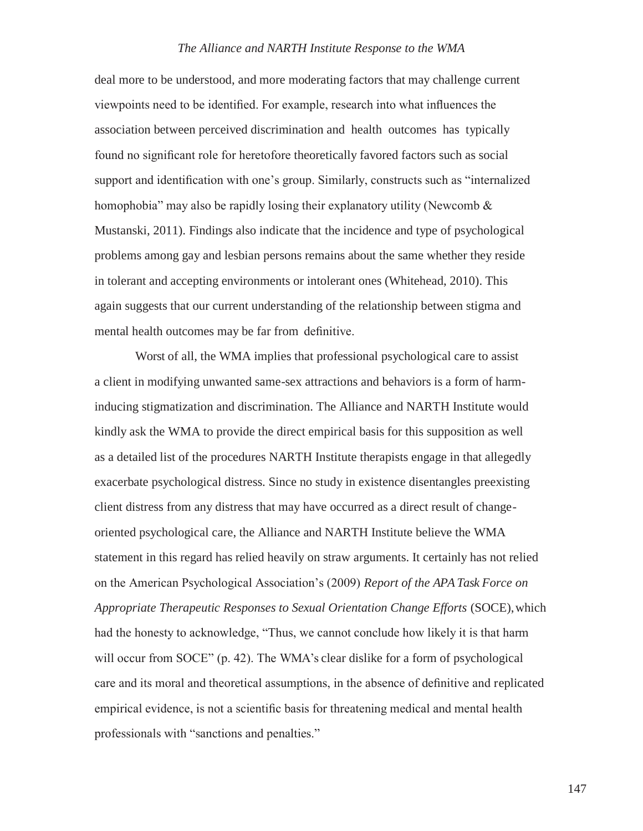deal more to be understood, and more moderating factors that may challenge current viewpoints need to be identified. For example, research into what influences the association between perceived discrimination and health outcomes has typically found no significant role for heretofore theoretically favored factors such as social support and identification with one's group. Similarly, constructs such as "internalized homophobia" may also be rapidly losing their explanatory utility (Newcomb & Mustanski, 2011). Findings also indicate that the incidence and type of psychological problems among gay and lesbian persons remains about the same whether they reside in tolerant and accepting environments or intolerant ones (Whitehead, 2010). This again suggests that our current understanding of the relationship between stigma and mental health outcomes may be far from definitive.

Worst of all, the WMA implies that professional psychological care to assist a client in modifying unwanted same-sex attractions and behaviors is a form of harminducing stigmatization and discrimination. The Alliance and NARTH Institute would kindly ask the WMA to provide the direct empirical basis for this supposition as well as a detailed list of the procedures NARTH Institute therapists engage in that allegedly exacerbate psychological distress. Since no study in existence disentangles preexisting client distress from any distress that may have occurred as a direct result of changeoriented psychological care, the Alliance and NARTH Institute believe the WMA statement in this regard has relied heavily on straw arguments. It certainly has not relied on the American Psychological Association's (2009) *Report of the APA Task Force on Appropriate Therapeutic Responses to Sexual Orientation Change Efforts* (SOCE),which had the honesty to acknowledge, "Thus, we cannot conclude how likely it is that harm will occur from SOCE" (p. 42). The WMA's clear dislike for a form of psychological care and its moral and theoretical assumptions, in the absence of definitive and replicated empirical evidence, is not a scientific basis for threatening medical and mental health professionals with "sanctions and penalties."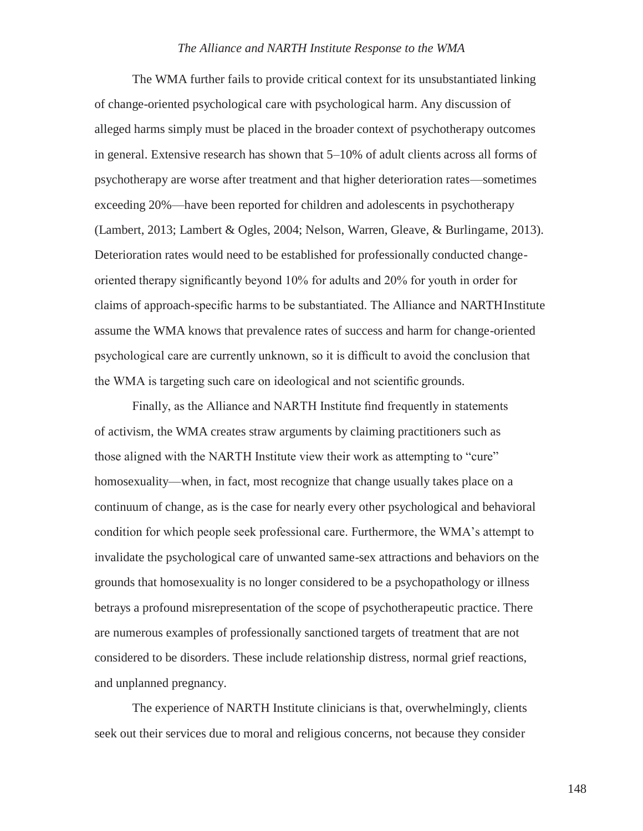The WMA further fails to provide critical context for its unsubstantiated linking of change-oriented psychological care with psychological harm. Any discussion of alleged harms simply must be placed in the broader context of psychotherapy outcomes in general. Extensive research has shown that 5–10% of adult clients across all forms of psychotherapy are worse after treatment and that higher deterioration rates—sometimes exceeding 20%—have been reported for children and adolescents in psychotherapy (Lambert, 2013; Lambert & Ogles, 2004; Nelson, Warren, Gleave, & Burlingame, 2013). Deterioration rates would need to be established for professionally conducted changeoriented therapy significantly beyond 10% for adults and 20% for youth in order for claims of approach-specific harms to be substantiated. The Alliance and NARTHInstitute assume the WMA knows that prevalence rates of success and harm for change-oriented psychological care are currently unknown, so it is difficult to avoid the conclusion that the WMA is targeting such care on ideological and not scientific grounds.

Finally, as the Alliance and NARTH Institute find frequently in statements of activism, the WMA creates straw arguments by claiming practitioners such as those aligned with the NARTH Institute view their work as attempting to "cure" homosexuality—when, in fact, most recognize that change usually takes place on a continuum of change, as is the case for nearly every other psychological and behavioral condition for which people seek professional care. Furthermore, the WMA's attempt to invalidate the psychological care of unwanted same-sex attractions and behaviors on the grounds that homosexuality is no longer considered to be a psychopathology or illness betrays a profound misrepresentation of the scope of psychotherapeutic practice. There are numerous examples of professionally sanctioned targets of treatment that are not considered to be disorders. These include relationship distress, normal grief reactions, and unplanned pregnancy.

The experience of NARTH Institute clinicians is that, overwhelmingly, clients seek out their services due to moral and religious concerns, not because they consider

148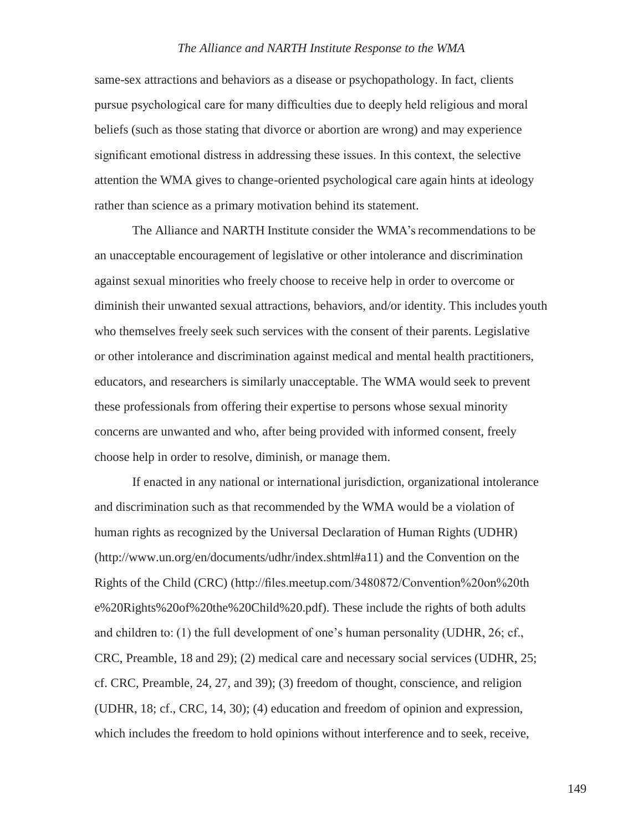same-sex attractions and behaviors as a disease or psychopathology. In fact, clients pursue psychological care for many difficulties due to deeply held religious and moral beliefs (such as those stating that divorce or abortion are wrong) and may experience significant emotional distress in addressing these issues. In this context, the selective attention the WMA gives to change-oriented psychological care again hints at ideology rather than science as a primary motivation behind its statement.

The Alliance and NARTH Institute consider the WMA's recommendations to be an unacceptable encouragement of legislative or other intolerance and discrimination against sexual minorities who freely choose to receive help in order to overcome or diminish their unwanted sexual attractions, behaviors, and/or identity. This includes youth who themselves freely seek such services with the consent of their parents. Legislative or other intolerance and discrimination against medical and mental health practitioners, educators, and researchers is similarly unacceptable. The WMA would seek to prevent these professionals from offering their expertise to persons whose sexual minority concerns are unwanted and who, after being provided with informed consent, freely choose help in order to resolve, diminish, or manage them.

If enacted in any national or international jurisdiction, organizational intolerance and discrimination such as that recommended by the WMA would be a violation of human rights as recognized by the Universal Declaration of Human Rights (UDHR) [\(http://www.un.org/en/documents/udhr/index.shtml#a11\)](http://www.un.org/en/documents/udhr/index.shtml#a11)) and the Convention on the Rights of the Child (CRC) [\(http://files.meetup.com/3480872/Convention%20on%20th](http://files.meetup.com/3480872/Convention%20on%20th) e%20Rights%20of%20the%20Child%20.pdf). These include the rights of both adults and children to: (1) the full development of one's human personality (UDHR, 26; cf., CRC, Preamble, 18 and 29); (2) medical care and necessary social services (UDHR, 25; cf. CRC, Preamble, 24, 27, and 39); (3) freedom of thought, conscience, and religion (UDHR, 18; cf., CRC, 14, 30); (4) education and freedom of opinion and expression, which includes the freedom to hold opinions without interference and to seek, receive,

149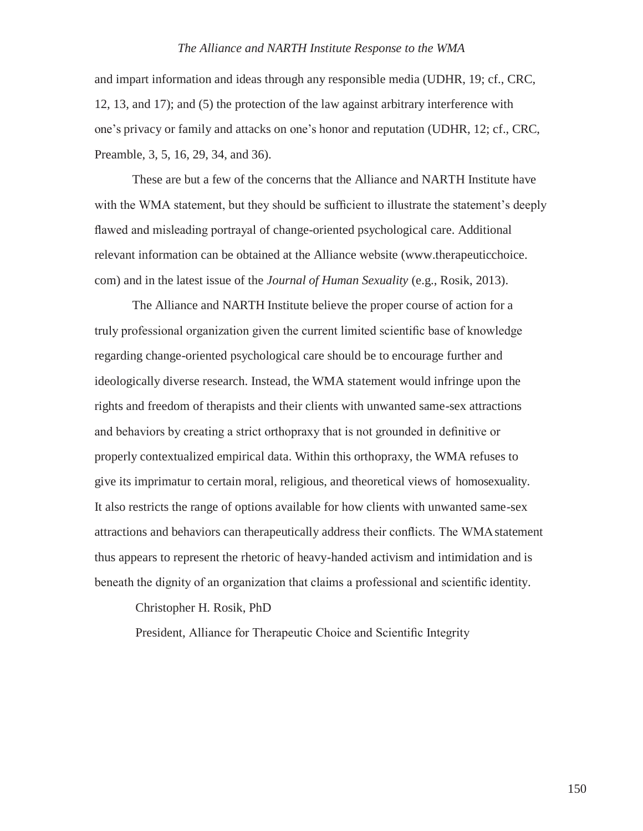and impart information and ideas through any responsible media (UDHR, 19; cf., CRC, 12, 13, and 17); and (5) the protection of the law against arbitrary interference with one's privacy or family and attacks on one's honor and reputation (UDHR, 12; cf., CRC, Preamble, 3, 5, 16, 29, 34, and 36).

These are but a few of the concerns that the Alliance and NARTH Institute have with the WMA statement, but they should be sufficient to illustrate the statement's deeply flawed and misleading portrayal of change-oriented psychological care. Additional relevant information can be obtained at the Alliance website (www.therapeuticchoice. com) and in the latest issue of the *Journal of Human Sexuality* (e.g., Rosik, 2013).

The Alliance and NARTH Institute believe the proper course of action for a truly professional organization given the current limited scientific base of knowledge regarding change-oriented psychological care should be to encourage further and ideologically diverse research. Instead, the WMA statement would infringe upon the rights and freedom of therapists and their clients with unwanted same-sex attractions and behaviors by creating a strict orthopraxy that is not grounded in definitive or properly contextualized empirical data. Within this orthopraxy, the WMA refuses to give its imprimatur to certain moral, religious, and theoretical views of homosexuality. It also restricts the range of options available for how clients with unwanted same-sex attractions and behaviors can therapeutically address their conflicts. The WMA statement thus appears to represent the rhetoric of heavy-handed activism and intimidation and is beneath the dignity of an organization that claims a professional and scientific identity.

Christopher H. Rosik, PhD

President, Alliance for Therapeutic Choice and Scientific Integrity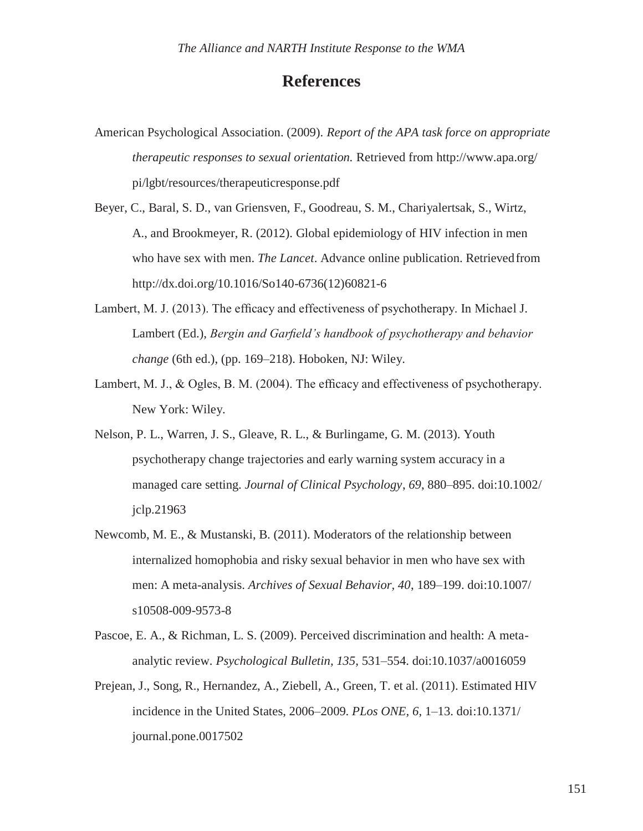## **References**

- American Psychological Association. (2009). *Report of the APA task force on appropriate therapeutic responses to sexual orientation.* Retrieved from<http://www.apa.org/> pi/lgbt/resources/therapeuticresponse.pdf
- Beyer, C., Baral, S. D., van Griensven, F., Goodreau, S. M., Chariyalertsak, S., Wirtz, A., and Brookmeyer, R. (2012). Global epidemiology of HIV infection in men who have sex with men. *The Lancet*. Advance online publication. Retrievedfrom [http://dx.doi.org/10.1016/So140-6736\(12\)60821-6](http://dx.doi.org/10.1016/So140-6736(12)60821-6)
- Lambert, M. J. (2013). The efficacy and effectiveness of psychotherapy. In Michael J. Lambert (Ed.), *Bergin and Garfield's handbook of psychotherapy and behavior change* (6th ed.), (pp. 169–218). Hoboken, NJ: Wiley.
- Lambert, M. J., & Ogles, B. M. (2004). The efficacy and effectiveness of psychotherapy. New York: Wiley.
- Nelson, P. L., Warren, J. S., Gleave, R. L., & Burlingame, G. M. (2013). Youth psychotherapy change trajectories and early warning system accuracy in a managed care setting. *Journal of Clinical Psychology*, *69*, 880–895. doi:10.1002/ jclp.21963
- Newcomb, M. E., & Mustanski, B. (2011). Moderators of the relationship between internalized homophobia and risky sexual behavior in men who have sex with men: A meta-analysis. *Archives of Sexual Behavior, 40*, 189–199. doi:10.1007/ s10508-009-9573-8
- Pascoe, E. A., & Richman, L. S. (2009). Perceived discrimination and health: A metaanalytic review. *Psychological Bulletin, 135*, 531–554. doi:10.1037/a0016059
- Prejean, J., Song, R., Hernandez, A., Ziebell, A., Green, T. et al. (2011). Estimated HIV incidence in the United States, 2006–2009. *PLos ONE, 6*, 1–13. doi:10.1371/ journal.pone.0017502